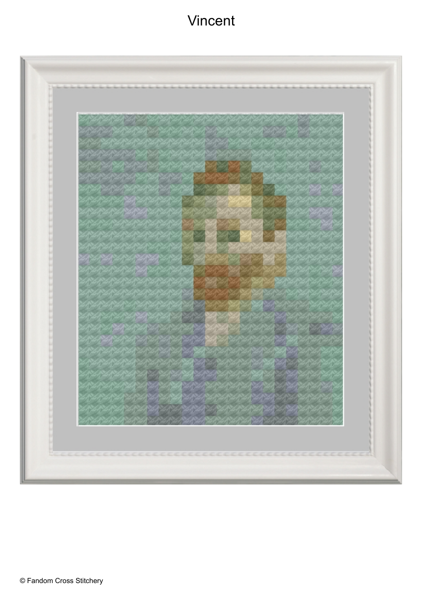## Vincent

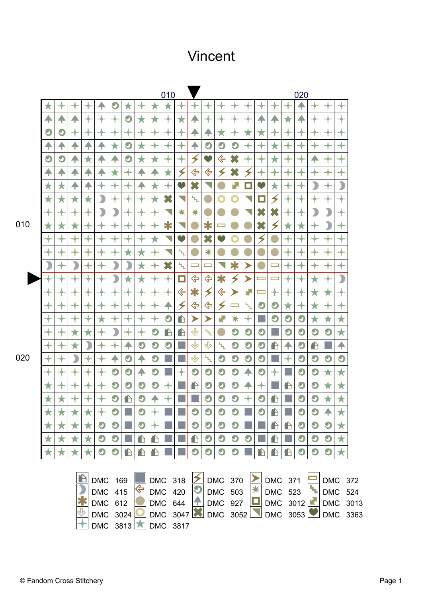## Vincent